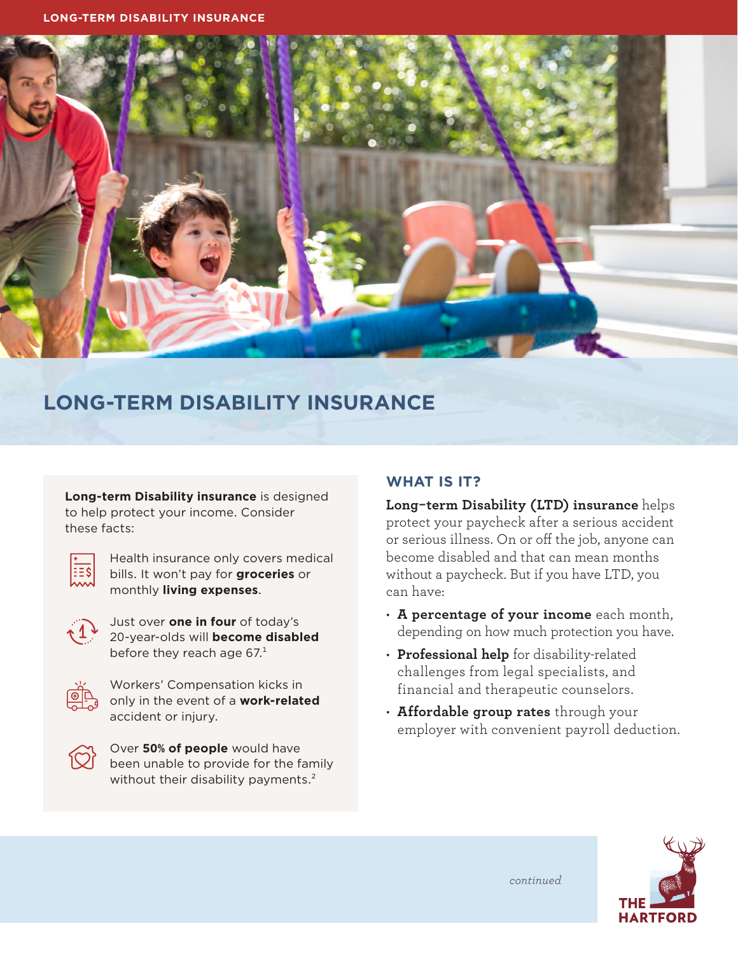

# **LONG-TERM DISABILITY INSURANCE**

**Long-term Disability insurance** is designed to help protect your income. Consider these facts:

Health insurance only covers medical bills. It won't pay for **groceries** or monthly **living expenses**.



Just over **one in four** of today's 20-year-olds will **become disabled** before they reach age 67.1

Workers' Compensation kicks in only in the event of a **work-related** accident or injury.



Over **50% of people** would have been unable to provide for the family without their disability payments.<sup>2</sup>

# **WHAT IS IT?**

**Long-term Disability (LTD) insurance** helps protect your paycheck after a serious accident or serious illness. On or off the job, anyone can become disabled and that can mean months without a paycheck. But if you have LTD, you can have:

- **A percentage of your income** each month, depending on how much protection you have.
- **Professional help** for disability-related challenges from legal specialists, and financial and therapeutic counselors.
- **Affordable group rates** through your employer with convenient payroll deduction.



*continued*